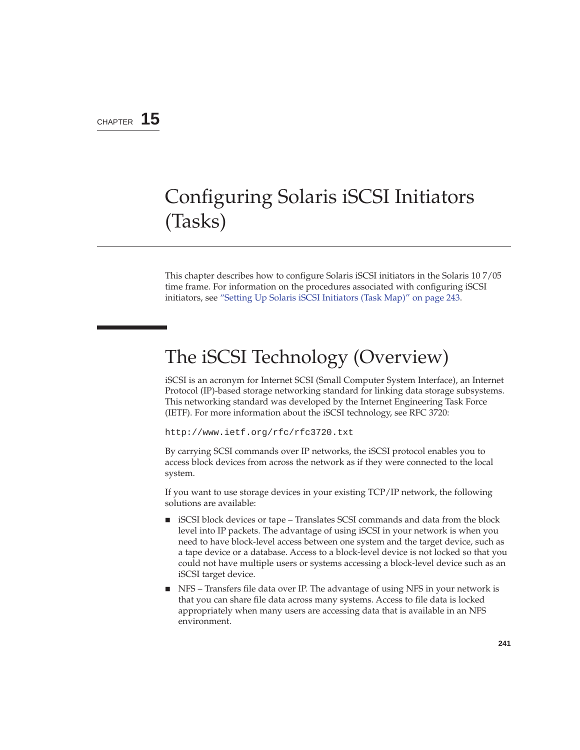### CHAPTER **15**

# Configuring Solaris iSCSI Initiators (Tasks)

This chapter describes how to configure Solaris iSCSI initiators in the Solaris 10 7/05 time frame. For information on the procedures associated with configuring iSCSI initiators, see "Setting Up Solaris iSCSI Initiators (Task Map)" on page 243.

# The iSCSI Technology (Overview)

iSCSI is an acronym for Internet SCSI (Small Computer System Interface), an Internet Protocol (IP)-based storage networking standard for linking data storage subsystems. This networking standard was developed by the Internet Engineering Task Force (IETF). For more information about the iSCSI technology, see RFC 3720:

http://www.ietf.org/rfc/rfc3720.txt

By carrying SCSI commands over IP networks, the iSCSI protocol enables you to access block devices from across the network as if they were connected to the local system.

If you want to use storage devices in your existing TCP/IP network, the following solutions are available:

- iSCSI block devices or tape Translates SCSI commands and data from the block level into IP packets. The advantage of using iSCSI in your network is when you need to have block-level access between one system and the target device, such as a tape device or a database. Access to a block-level device is not locked so that you could not have multiple users or systems accessing a block-level device such as an iSCSI target device.
- NFS Transfers file data over IP. The advantage of using NFS in your network is that you can share file data across many systems. Access to file data is locked appropriately when many users are accessing data that is available in an NFS environment.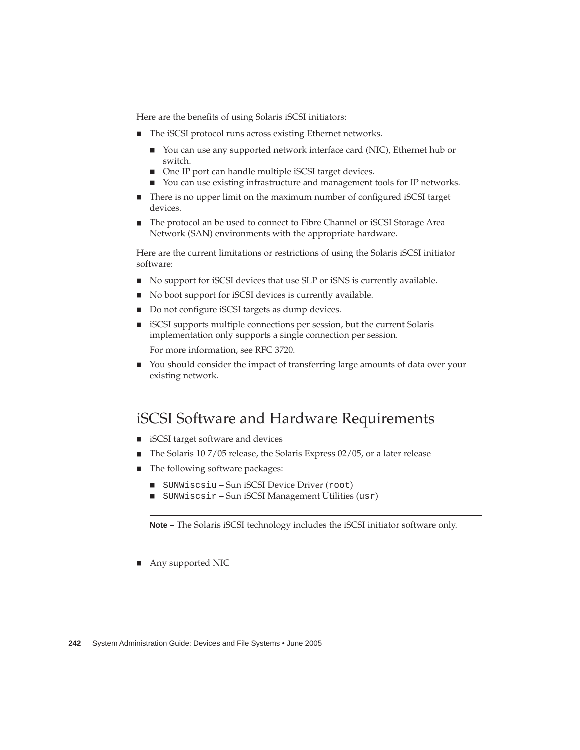Here are the benefits of using Solaris iSCSI initiators:

- The iSCSI protocol runs across existing Ethernet networks.
	- You can use any supported network interface card (NIC), Ethernet hub or switch.
	- One IP port can handle multiple iSCSI target devices.
	- You can use existing infrastructure and management tools for IP networks.
- There is no upper limit on the maximum number of configured iSCSI target devices.
- The protocol an be used to connect to Fibre Channel or iSCSI Storage Area Network (SAN) environments with the appropriate hardware.

Here are the current limitations or restrictions of using the Solaris iSCSI initiator software:

- No support for iSCSI devices that use SLP or iSNS is currently available.
- No boot support for iSCSI devices is currently available.
- Do not configure iSCSI targets as dump devices.
- iSCSI supports multiple connections per session, but the current Solaris implementation only supports a single connection per session.

For more information, see RFC 3720.

■ You should consider the impact of transferring large amounts of data over your existing network.

### iSCSI Software and Hardware Requirements

- iSCSI target software and devices
- The Solaris 10 7/05 release, the Solaris Express 02/05, or a later release
- The following software packages:
	- SUNWiscsiu Sun iSCSI Device Driver (root)
	- SUNWiscsir Sun iSCSI Management Utilities (usr)

**Note –** The Solaris iSCSI technology includes the iSCSI initiator software only.

■ Any supported NIC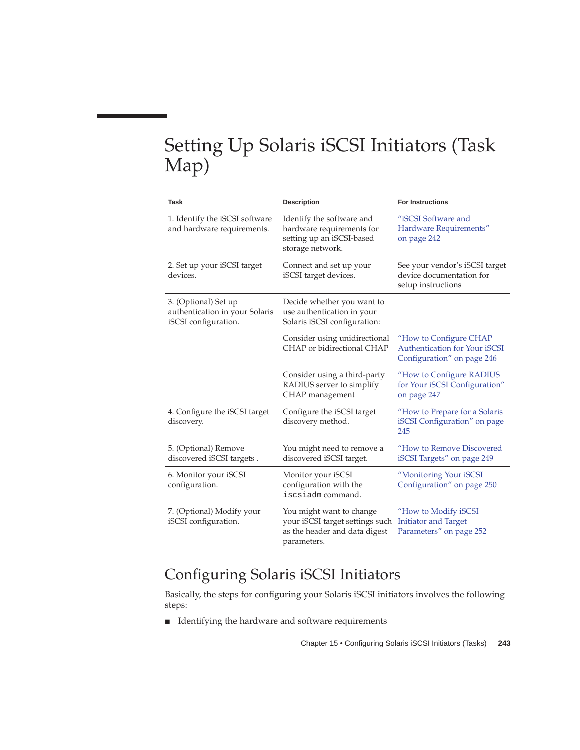# Setting Up Solaris iSCSI Initiators (Task Map)

| <b>Task</b>                                                                    | <b>Description</b>                                                                                          | <b>For Instructions</b>                                                                      |
|--------------------------------------------------------------------------------|-------------------------------------------------------------------------------------------------------------|----------------------------------------------------------------------------------------------|
| 1. Identify the iSCSI software<br>and hardware requirements.                   | Identify the software and<br>hardware requirements for<br>setting up an iSCSI-based<br>storage network.     | "iSCSI Software and<br>Hardware Requirements"<br>on page 242                                 |
| 2. Set up your iSCSI target<br>devices.                                        | Connect and set up your<br>iSCSI target devices.                                                            | See your vendor's iSCSI target<br>device documentation for<br>setup instructions             |
| 3. (Optional) Set up<br>authentication in your Solaris<br>iSCSI configuration. | Decide whether you want to<br>use authentication in your<br>Solaris iSCSI configuration:                    |                                                                                              |
|                                                                                | Consider using unidirectional<br>CHAP or bidirectional CHAP                                                 | "How to Configure CHAP<br><b>Authentication for Your iSCSI</b><br>Configuration" on page 246 |
|                                                                                | Consider using a third-party<br>RADIUS server to simplify<br>CHAP management                                | "How to Configure RADIUS<br>for Your iSCSI Configuration"<br>on page 247                     |
| 4. Configure the iSCSI target<br>discovery.                                    | Configure the iSCSI target<br>discovery method.                                                             | "How to Prepare for a Solaris<br>iSCSI Configuration" on page<br>245                         |
| 5. (Optional) Remove<br>discovered iSCSI targets.                              | You might need to remove a<br>discovered iSCSI target.                                                      | "How to Remove Discovered<br>iSCSI Targets" on page 249                                      |
| 6. Monitor your iSCSI<br>configuration.                                        | Monitor your iSCSI<br>configuration with the<br>iscsiadm command.                                           | "Monitoring Your iSCSI<br>Configuration" on page 250                                         |
| 7. (Optional) Modify your<br>iSCSI configuration.                              | You might want to change<br>your iSCSI target settings such<br>as the header and data digest<br>parameters. | "How to Modify iSCSI<br><b>Initiator and Target</b><br>Parameters" on page 252               |

# Configuring Solaris iSCSI Initiators

Basically, the steps for configuring your Solaris iSCSI initiators involves the following steps:

■ Identifying the hardware and software requirements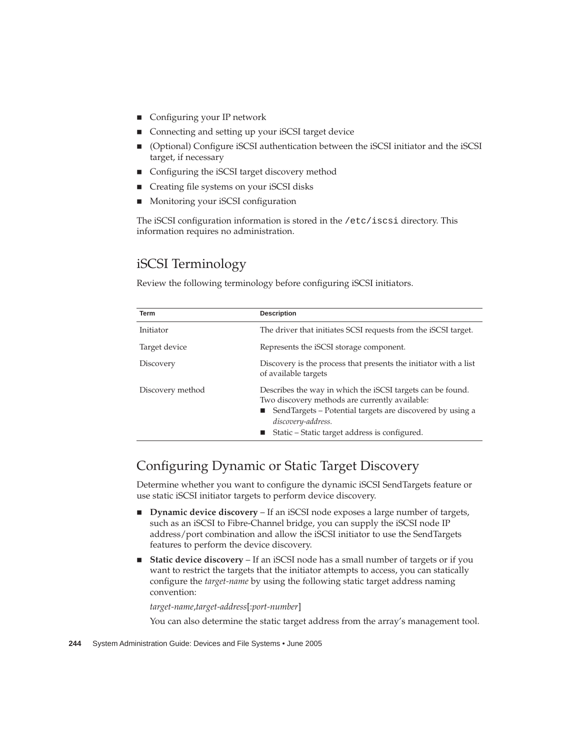- Configuring your IP network
- Connecting and setting up your iSCSI target device
- (Optional) Configure iSCSI authentication between the iSCSI initiator and the iSCSI target, if necessary
- Configuring the iSCSI target discovery method
- Creating file systems on your iSCSI disks
- Monitoring your iSCSI configuration

The iSCSI configuration information is stored in the /etc/iscsi directory. This information requires no administration.

### iSCSI Terminology

Review the following terminology before configuring iSCSI initiators.

| <b>Term</b>      | <b>Description</b>                                                                                                                                                                                                                                   |  |
|------------------|------------------------------------------------------------------------------------------------------------------------------------------------------------------------------------------------------------------------------------------------------|--|
| Initiator        | The driver that initiates SCSI requests from the iSCSI target.                                                                                                                                                                                       |  |
| Target device    | Represents the iSCSI storage component.                                                                                                                                                                                                              |  |
| Discovery        | Discovery is the process that presents the initiator with a list<br>of available targets                                                                                                                                                             |  |
| Discovery method | Describes the way in which the iSCSI targets can be found.<br>Two discovery methods are currently available:<br>■ SendTargets – Potential targets are discovered by using a<br>discovery-address.<br>■ Static - Static target address is configured. |  |

### Configuring Dynamic or Static Target Discovery

Determine whether you want to configure the dynamic iSCSI SendTargets feature or use static iSCSI initiator targets to perform device discovery.

- **Dynamic device discovery** If an iSCSI node exposes a large number of targets, such as an iSCSI to Fibre-Channel bridge, you can supply the iSCSI node IP address/port combination and allow the iSCSI initiator to use the SendTargets features to perform the device discovery.
- **Static device discovery** If an iSCSI node has a small number of targets or if you want to restrict the targets that the initiator attempts to access, you can statically configure the *target-name* by using the following static target address naming convention:

*target-name*,*target-address*[:*port-number*]

You can also determine the static target address from the array's management tool.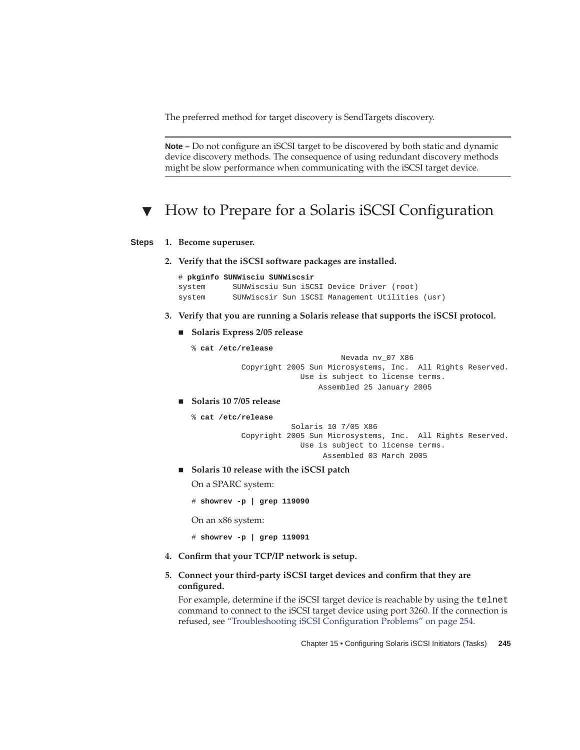The preferred method for target discovery is SendTargets discovery.

**Note –** Do not configure an iSCSI target to be discovered by both static and dynamic device discovery methods. The consequence of using redundant discovery methods might be slow performance when communicating with the iSCSI target device.

## How to Prepare for a Solaris iSCSI Configuration

#### **1. Become superuser. Steps**

**2. Verify that the iSCSI software packages are installed.**

```
# pkginfo SUNWisciu SUNWiscsir
system SUNWiscsiu Sun iSCSI Device Driver (root)
system SUNWiscsir Sun iSCSI Management Utilities (usr)
```
- **3. Verify that you are running a Solaris release that supports the iSCSI protocol.**
	- **Solaris Express 2/05 release**
		- % **cat /etc/release**

Nevada nv\_07 X86 Copyright 2005 Sun Microsystems, Inc. All Rights Reserved. Use is subject to license terms. Assembled 25 January 2005

■ **Solaris 10 7/05 release**

```
% cat /etc/release
```

```
Solaris 10 7/05 X86
Copyright 2005 Sun Microsystems, Inc. All Rights Reserved.
            Use is subject to license terms.
                  Assembled 03 March 2005
```
■ **Solaris 10 release with the iSCSI patch**

On a SPARC system:

# **showrev -p | grep 119090**

On an x86 system:

# **showrev -p | grep 119091**

- **4. Confirm that your TCP/IP network is setup.**
- **5. Connect your third-party iSCSI target devices and confirm that they are configured.**

For example, determine if the iSCSI target device is reachable by using the telnet command to connect to the iSCSI target device using port 3260. If the connection is refused, see "Troubleshooting iSCSI Configuration Problems" on page 254.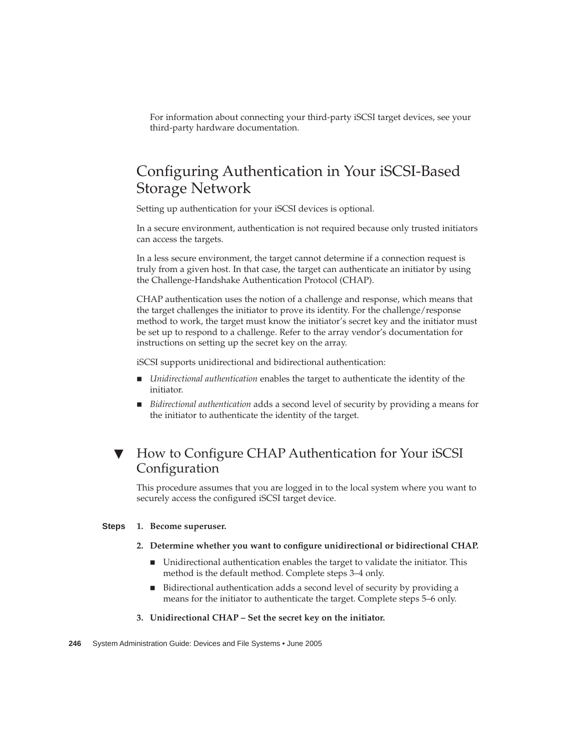For information about connecting your third-party iSCSI target devices, see your third-party hardware documentation.

## Configuring Authentication in Your iSCSI-Based Storage Network

Setting up authentication for your iSCSI devices is optional.

In a secure environment, authentication is not required because only trusted initiators can access the targets.

In a less secure environment, the target cannot determine if a connection request is truly from a given host. In that case, the target can authenticate an initiator by using the Challenge-Handshake Authentication Protocol (CHAP).

CHAP authentication uses the notion of a challenge and response, which means that the target challenges the initiator to prove its identity. For the challenge/response method to work, the target must know the initiator's secret key and the initiator must be set up to respond to a challenge. Refer to the array vendor's documentation for instructions on setting up the secret key on the array.

iSCSI supports unidirectional and bidirectional authentication:

- *Unidirectional authentication* enables the target to authenticate the identity of the initiator.
- *Bidirectional authentication* adds a second level of security by providing a means for the initiator to authenticate the identity of the target.

### ▼ How to Configure CHAP Authentication for Your iSCSI Configuration

This procedure assumes that you are logged in to the local system where you want to securely access the configured iSCSI target device.

#### **1. Become superuser. Steps**

### **2. Determine whether you want to configure unidirectional or bidirectional CHAP.**

- Unidirectional authentication enables the target to validate the initiator. This method is the default method. Complete steps 3–4 only.
- Bidirectional authentication adds a second level of security by providing a means for the initiator to authenticate the target. Complete steps 5–6 only.
- **3. Unidirectional CHAP – Set the secret key on the initiator.**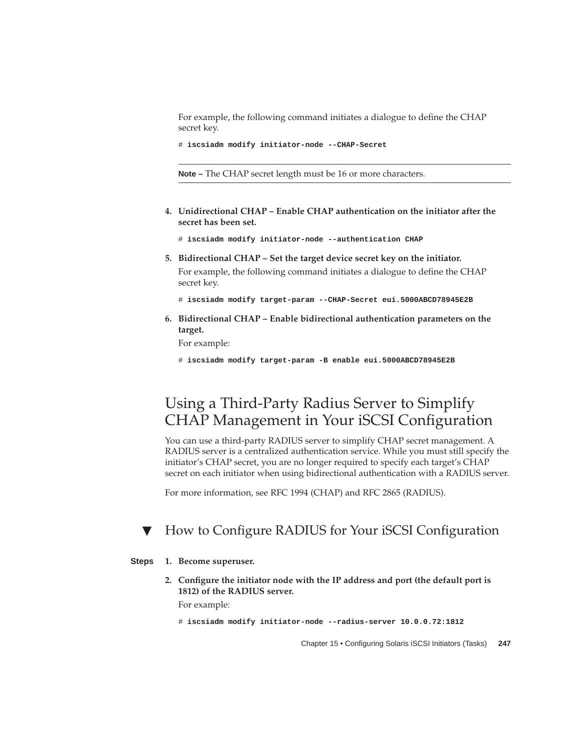For example, the following command initiates a dialogue to define the CHAP secret key.

```
# iscsiadm modify initiator-node --CHAP-Secret
```
**Note –** The CHAP secret length must be 16 or more characters.

- **4. Unidirectional CHAP – Enable CHAP authentication on the initiator after the secret has been set.**
	- # **iscsiadm modify initiator-node --authentication CHAP**
- **5. Bidirectional CHAP – Set the target device secret key on the initiator.** For example, the following command initiates a dialogue to define the CHAP secret key.
	- # **iscsiadm modify target-param --CHAP-Secret eui.5000ABCD78945E2B**
- **6. Bidirectional CHAP – Enable bidirectional authentication parameters on the target.**

For example:

# **iscsiadm modify target-param -B enable eui.5000ABCD78945E2B**

## Using a Third-Party Radius Server to Simplify CHAP Management in Your iSCSI Configuration

You can use a third-party RADIUS server to simplify CHAP secret management. A RADIUS server is a centralized authentication service. While you must still specify the initiator's CHAP secret, you are no longer required to specify each target's CHAP secret on each initiator when using bidirectional authentication with a RADIUS server.

For more information, see RFC 1994 (CHAP) and RFC 2865 (RADIUS).

### ▼ How to Configure RADIUS for Your iSCSI Configuration

#### **1. Become superuser. Steps**

**2. Configure the initiator node with the IP address and port (the default port is 1812) of the RADIUS server.**

For example:

```
# iscsiadm modify initiator-node --radius-server 10.0.0.72:1812
```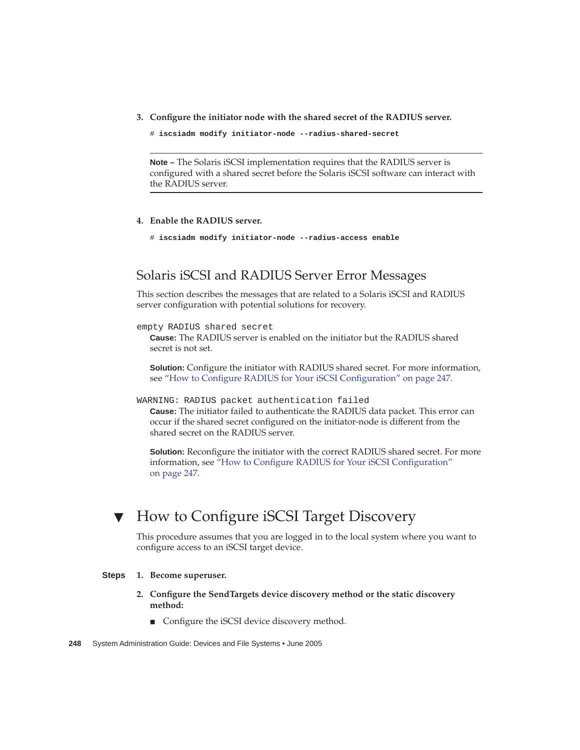**3. Configure the initiator node with the shared secret of the RADIUS server.**

# **iscsiadm modify initiator-node --radius-shared-secret**

**Note –** The Solaris iSCSI implementation requires that the RADIUS server is configured with a shared secret before the Solaris iSCSI software can interact with the RADIUS server.

### **4. Enable the RADIUS server.**

# **iscsiadm modify initiator-node --radius-access enable**

### Solaris iSCSI and RADIUS Server Error Messages

This section describes the messages that are related to a Solaris iSCSI and RADIUS server configuration with potential solutions for recovery.

### empty RADIUS shared secret

**Cause:** The RADIUS server is enabled on the initiator but the RADIUS shared secret is not set.

**Solution:** Configure the initiator with RADIUS shared secret. For more information, see "How to Configure RADIUS for Your iSCSI Configuration" on page 247.

WARNING: RADIUS packet authentication failed

**Cause:** The initiator failed to authenticate the RADIUS data packet. This error can occur if the shared secret configured on the initiator-node is different from the shared secret on the RADIUS server.

**Solution:** Reconfigure the initiator with the correct RADIUS shared secret. For more information, see "How to Configure RADIUS for Your iSCSI Configuration" on page 247.

## ▼ How to Configure iSCSI Target Discovery

This procedure assumes that you are logged in to the local system where you want to configure access to an iSCSI target device.

#### **1. Become superuser. Steps**

- **2. Configure the SendTargets device discovery method or the static discovery method:**
	- Configure the iSCSI device discovery method.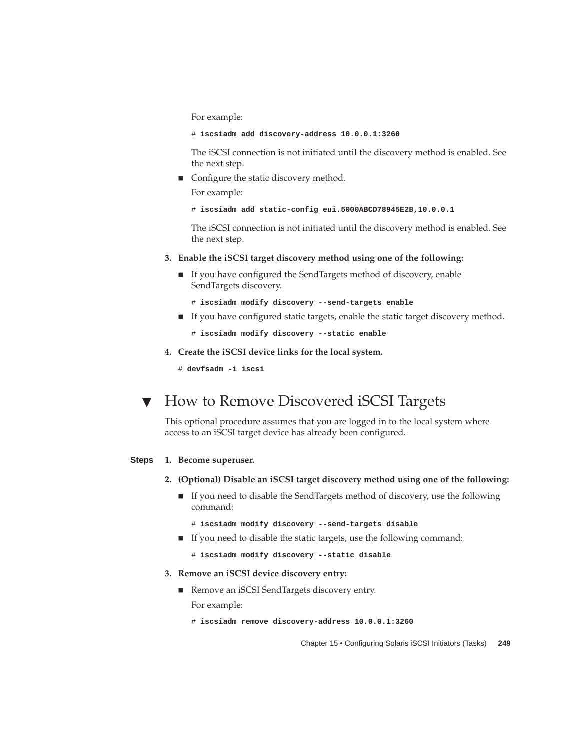For example:

# **iscsiadm add discovery-address 10.0.0.1:3260**

The iSCSI connection is not initiated until the discovery method is enabled. See the next step.

■ Configure the static discovery method.

For example:

```
# iscsiadm add static-config eui.5000ABCD78945E2B,10.0.0.1
```
The iSCSI connection is not initiated until the discovery method is enabled. See the next step.

- **3. Enable the iSCSI target discovery method using one of the following:**
	- If you have configured the SendTargets method of discovery, enable SendTargets discovery.
		- # **iscsiadm modify discovery --send-targets enable**
	- If you have configured static targets, enable the static target discovery method.

```
# iscsiadm modify discovery --static enable
```
**4. Create the iSCSI device links for the local system.**

# **devfsadm -i iscsi**

## ▼ How to Remove Discovered iSCSI Targets

This optional procedure assumes that you are logged in to the local system where access to an iSCSI target device has already been configured.

#### **1. Become superuser. Steps**

- **2. (Optional) Disable an iSCSI target discovery method using one of the following:**
	- If you need to disable the SendTargets method of discovery, use the following command:
		- # **iscsiadm modify discovery --send-targets disable**
	- If you need to disable the static targets, use the following command:

# **iscsiadm modify discovery --static disable**

### **3. Remove an iSCSI device discovery entry:**

- Remove an iSCSI SendTargets discovery entry. For example:
	- # **iscsiadm remove discovery-address 10.0.0.1:3260**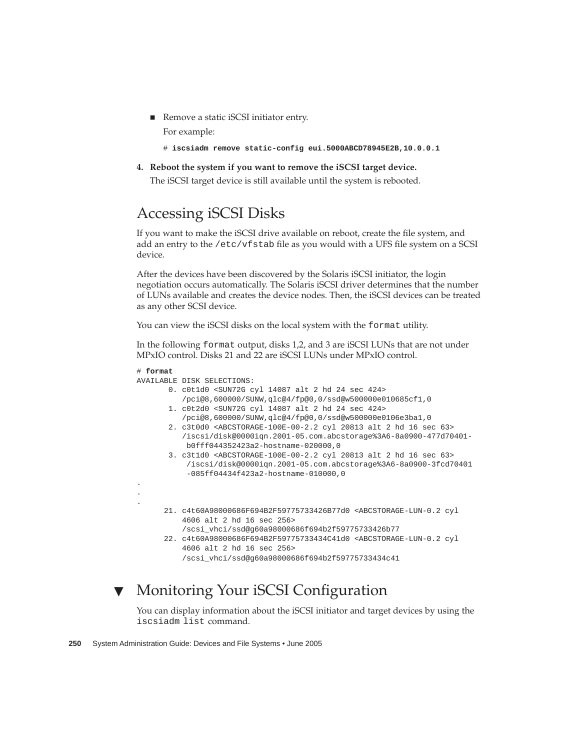■ Remove a static iSCSI initiator entry.

For example:

```
# iscsiadm remove static-config eui.5000ABCD78945E2B,10.0.0.1
```
**4. Reboot the system if you want to remove the iSCSI target device.**

The iSCSI target device is still available until the system is rebooted.

# Accessing iSCSI Disks

If you want to make the iSCSI drive available on reboot, create the file system, and add an entry to the /etc/vfstab file as you would with a UFS file system on a SCSI device.

After the devices have been discovered by the Solaris iSCSI initiator, the login negotiation occurs automatically. The Solaris iSCSI driver determines that the number of LUNs available and creates the device nodes. Then, the iSCSI devices can be treated as any other SCSI device.

You can view the iSCSI disks on the local system with the format utility.

In the following format output, disks 1,2, and 3 are iSCSI LUNs that are not under MPxIO control. Disks 21 and 22 are iSCSI LUNs under MPxIO control.

```
# format
AVAILABLE DISK SELECTIONS:
       0. c0t1d0 <SUN72G cyl 14087 alt 2 hd 24 sec 424>
          /pci@8,600000/SUNW,qlc@4/fp@0,0/ssd@w500000e010685cf1,0
       1. c0t2d0 <SUN72G cyl 14087 alt 2 hd 24 sec 424>
          /pci@8,600000/SUNW,qlc@4/fp@0,0/ssd@w500000e0106e3ba1,0
       2. c3t0d0 <ABCSTORAGE-100E-00-2.2 cyl 20813 alt 2 hd 16 sec 63>
          /iscsi/disk@0000iqn.2001-05.com.abcstorage%3A6-8a0900-477d70401-
          b0fff044352423a2-hostname-020000,0
       3. c3t1d0 <ABCSTORAGE-100E-00-2.2 cyl 20813 alt 2 hd 16 sec 63>
           /iscsi/disk@0000iqn.2001-05.com.abcstorage%3A6-8a0900-3fcd70401
           -085ff04434f423a2-hostname-010000,0
.
.
.
      21. c4t60A98000686F694B2F59775733426B77d0 <ABCSTORAGE-LUN-0.2 cyl
          4606 alt 2 hd 16 sec 256>
          /scsi_vhci/ssd@g60a98000686f694b2f59775733426b77
      22. c4t60A98000686F694B2F59775733434C41d0 <ABCSTORAGE-LUN-0.2 cyl
          4606 alt 2 hd 16 sec 256>
          /scsi_vhci/ssd@g60a98000686f694b2f59775733434c41
```
# ▼ Monitoring Your iSCSI Configuration

You can display information about the iSCSI initiator and target devices by using the iscsiadm list command.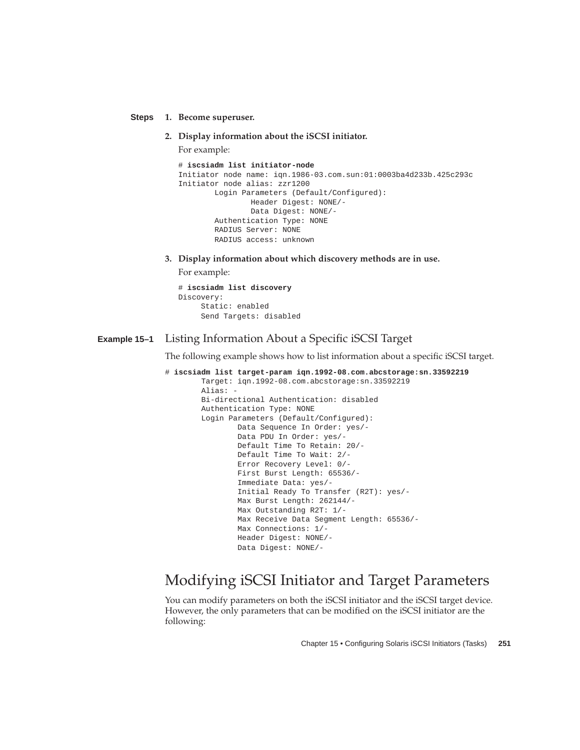**1. Become superuser. Steps**

**2. Display information about the iSCSI initiator.**

For example:

```
# iscsiadm list initiator-node
Initiator node name: iqn.1986-03.com.sun:01:0003ba4d233b.425c293c
Initiator node alias: zzr1200
       Login Parameters (Default/Configured):
               Header Digest: NONE/-
               Data Digest: NONE/-
       Authentication Type: NONE
        RADIUS Server: NONE
       RADIUS access: unknown
```
**3. Display information about which discovery methods are in use.**

For example:

```
# iscsiadm list discovery
Discovery:
    Static: enabled
    Send Targets: disabled
```
#### Listing Information About a Specific iSCSI Target **Example 15–1**

The following example shows how to list information about a specific iSCSI target.

```
# iscsiadm list target-param iqn.1992-08.com.abcstorage:sn.33592219
       Target: iqn.1992-08.com.abcstorage:sn.33592219
       Alias: -
       Bi-directional Authentication: disabled
       Authentication Type: NONE
       Login Parameters (Default/Configured):
               Data Sequence In Order: yes/-
               Data PDU In Order: yes/-
               Default Time To Retain: 20/-
               Default Time To Wait: 2/-
               Error Recovery Level: 0/-
               First Burst Length: 65536/-
               Immediate Data: yes/-
               Initial Ready To Transfer (R2T): yes/-
               Max Burst Length: 262144/-
               Max Outstanding R2T: 1/-
               Max Receive Data Segment Length: 65536/-
               Max Connections: 1/-
               Header Digest: NONE/-
               Data Digest: NONE/-
```
### Modifying iSCSI Initiator and Target Parameters

You can modify parameters on both the iSCSI initiator and the iSCSI target device. However, the only parameters that can be modified on the iSCSI initiator are the following: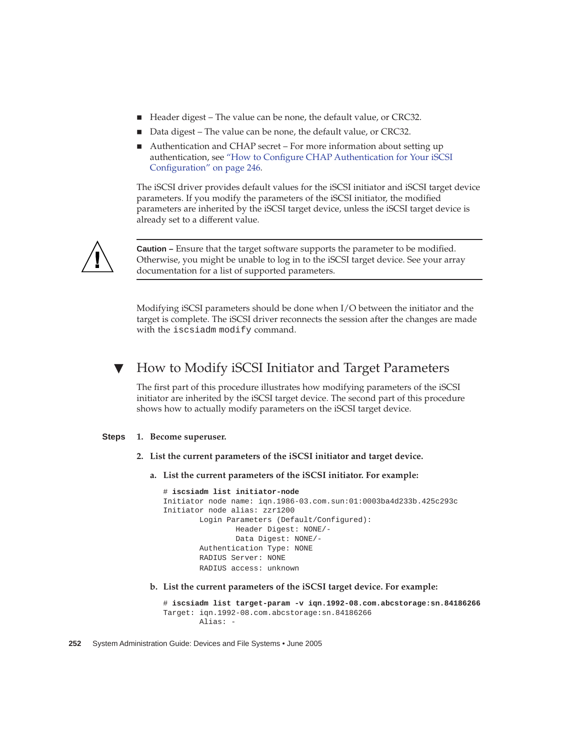- Header digest The value can be none, the default value, or CRC32.
- Data digest The value can be none, the default value, or CRC32.
- Authentication and CHAP secret For more information about setting up authentication, see "How to Configure CHAP Authentication for Your iSCSI Configuration" on page 246.

The iSCSI driver provides default values for the iSCSI initiator and iSCSI target device parameters. If you modify the parameters of the iSCSI initiator, the modified parameters are inherited by the iSCSI target device, unless the iSCSI target device is already set to a different value.



**Caution –** Ensure that the target software supports the parameter to be modified. Otherwise, you might be unable to log in to the iSCSI target device. See your array documentation for a list of supported parameters.

Modifying iSCSI parameters should be done when I/O between the initiator and the target is complete. The iSCSI driver reconnects the session after the changes are made with the iscsiadm modify command.

### How to Modify iSCSI Initiator and Target Parameters

The first part of this procedure illustrates how modifying parameters of the iSCSI initiator are inherited by the iSCSI target device. The second part of this procedure shows how to actually modify parameters on the iSCSI target device.

#### **1. Become superuser. Steps**

- **2. List the current parameters of the iSCSI initiator and target device.**
	- **a. List the current parameters of the iSCSI initiator. For example:**

```
# iscsiadm list initiator-node
Initiator node name: iqn.1986-03.com.sun:01:0003ba4d233b.425c293c
Initiator node alias: zzr1200
       Login Parameters (Default/Configured):
               Header Digest: NONE/-
               Data Digest: NONE/-
       Authentication Type: NONE
       RADIUS Server: NONE
       RADIUS access: unknown
```
**b. List the current parameters of the iSCSI target device. For example:**

```
# iscsiadm list target-param -v iqn.1992-08.com.abcstorage:sn.84186266
Target: iqn.1992-08.com.abcstorage:sn.84186266
       Alias: -
```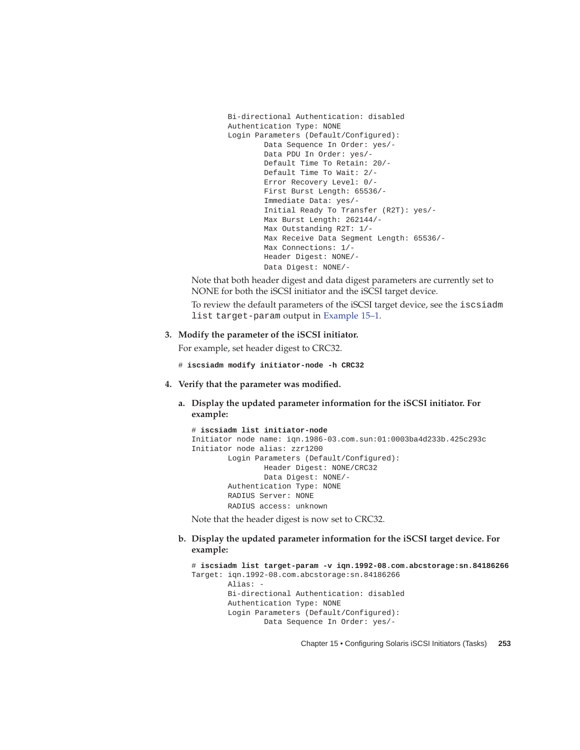```
Bi-directional Authentication: disabled
Authentication Type: NONE
Login Parameters (Default/Configured):
       Data Sequence In Order: yes/-
       Data PDU In Order: yes/-
       Default Time To Retain: 20/-
       Default Time To Wait: 2/-
       Error Recovery Level: 0/-
       First Burst Length: 65536/-
        Immediate Data: yes/-
        Initial Ready To Transfer (R2T): yes/-
        Max Burst Length: 262144/-
       Max Outstanding R2T: 1/-
       Max Receive Data Segment Length: 65536/-
        Max Connections: 1/-
        Header Digest: NONE/-
        Data Digest: NONE/-
```
Note that both header digest and data digest parameters are currently set to NONE for both the iSCSI initiator and the iSCSI target device.

To review the default parameters of the iSCSI target device, see the iscsiadm list target-param output in Example 15–1.

### **3. Modify the parameter of the iSCSI initiator.**

For example, set header digest to CRC32.

- # **iscsiadm modify initiator-node -h CRC32**
- **4. Verify that the parameter was modified.**
	- **a. Display the updated parameter information for the iSCSI initiator. For example:**

```
# iscsiadm list initiator-node
Initiator node name: iqn.1986-03.com.sun:01:0003ba4d233b.425c293c
Initiator node alias: zzr1200
       Login Parameters (Default/Configured):
               Header Digest: NONE/CRC32
               Data Digest: NONE/-
       Authentication Type: NONE
       RADIUS Server: NONE
       RADIUS access: unknown
```
Note that the header digest is now set to CRC32.

**b. Display the updated parameter information for the iSCSI target device. For example:**

```
# iscsiadm list target-param -v iqn.1992-08.com.abcstorage:sn.84186266
Target: iqn.1992-08.com.abcstorage:sn.84186266
        Alias: -
       Bi-directional Authentication: disabled
       Authentication Type: NONE
        Login Parameters (Default/Configured):
                Data Sequence In Order: yes/-
```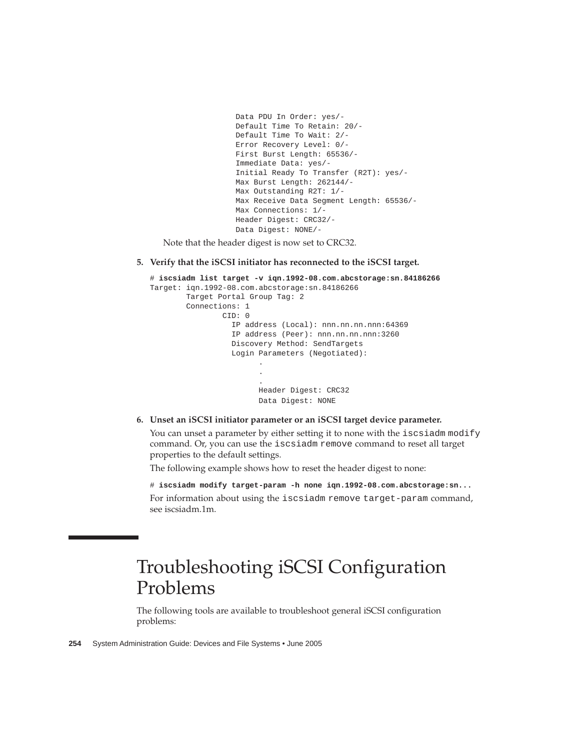```
Data PDU In Order: yes/-
Default Time To Retain: 20/-
Default Time To Wait: 2/-
Error Recovery Level: 0/-
First Burst Length: 65536/-
Immediate Data: yes/-
Initial Ready To Transfer (R2T): yes/-
Max Burst Length: 262144/-
Max Outstanding R2T: 1/-
Max Receive Data Segment Length: 65536/-
Max Connections: 1/-
Header Digest: CRC32/-
Data Digest: NONE/-
```
Note that the header digest is now set to CRC32.

**5. Verify that the iSCSI initiator has reconnected to the iSCSI target.**

```
# iscsiadm list target -v iqn.1992-08.com.abcstorage:sn.84186266
Target: iqn.1992-08.com.abcstorage:sn.84186266
        Target Portal Group Tag: 2
        Connections: 1
               CID: 0
                  IP address (Local): nnn.nn.nn.nnn:64369
                  IP address (Peer): nnn.nn.nn.nnn:3260
                  Discovery Method: SendTargets
                  Login Parameters (Negotiated):
                        .
                        .
                        .
                        Header Digest: CRC32
                        Data Digest: NONE
```
**6. Unset an iSCSI initiator parameter or an iSCSI target device parameter.**

You can unset a parameter by either setting it to none with the iscsiadm modify command. Or, you can use the iscsiadm remove command to reset all target properties to the default settings.

The following example shows how to reset the header digest to none:

# **iscsiadm modify target-param -h none iqn.1992-08.com.abcstorage:sn...** For information about using the iscsiadm remove target-param command, see iscsiadm.1m.

# Troubleshooting iSCSI Configuration Problems

The following tools are available to troubleshoot general iSCSI configuration problems: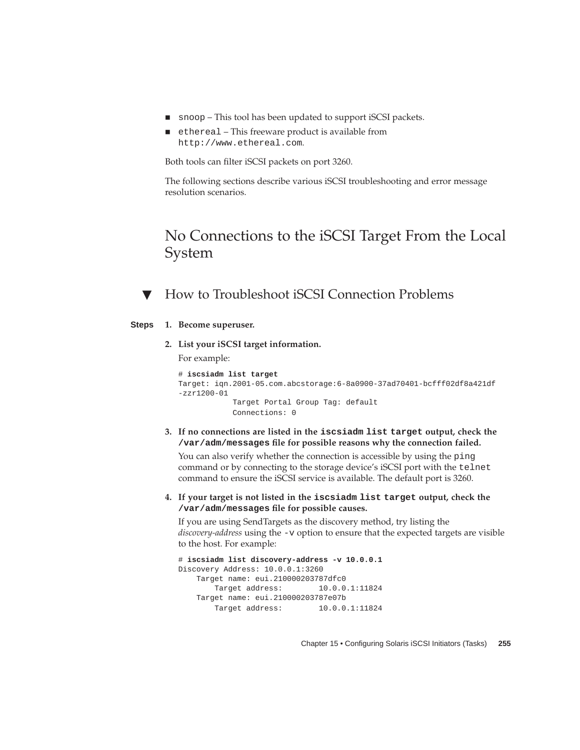- snoop This tool has been updated to support iSCSI packets.
- ethereal This freeware product is available from http://www.ethereal.com.

Both tools can filter iSCSI packets on port 3260.

The following sections describe various iSCSI troubleshooting and error message resolution scenarios.

## No Connections to the iSCSI Target From the Local System

How to Troubleshoot iSCSI Connection Problems

#### **1. Become superuser. Steps**

**2. List your iSCSI target information.** For example:

```
# iscsiadm list target
Target: iqn.2001-05.com.abcstorage:6-8a0900-37ad70401-bcfff02df8a421df
-zzr1200-01
           Target Portal Group Tag: default
           Connections: 0
```
**3. If no connections are listed in the iscsiadm list target output, check the /var/adm/messages file for possible reasons why the connection failed.**

You can also verify whether the connection is accessible by using the ping command or by connecting to the storage device's iSCSI port with the telnet command to ensure the iSCSI service is available. The default port is 3260.

**4. If your target is not listed in the iscsiadm list target output, check the /var/adm/messages file for possible causes.**

If you are using SendTargets as the discovery method, try listing the *discovery-address* using the -v option to ensure that the expected targets are visible to the host. For example:

```
# iscsiadm list discovery-address -v 10.0.0.1
Discovery Address: 10.0.0.1:3260
   Target name: eui.210000203787dfc0
      Target address: 10.0.0.1:11824
   Target name: eui.210000203787e07b
       Target address: 10.0.0.1:11824
```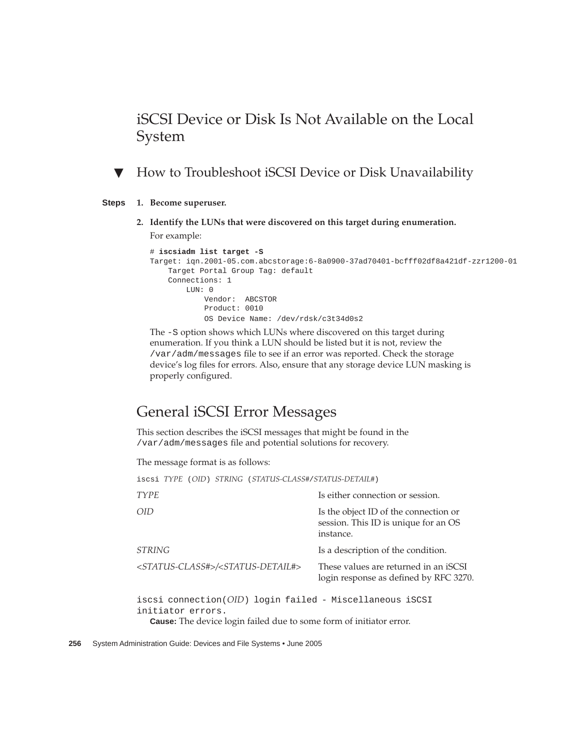## iSCSI Device or Disk Is Not Available on the Local System

### ▼ How to Troubleshoot iSCSI Device or Disk Unavailability

#### **1. Become superuser. Steps**

**2. Identify the LUNs that were discovered on this target during enumeration.** For example:

```
# iscsiadm list target -S
Target: iqn.2001-05.com.abcstorage:6-8a0900-37ad70401-bcfff02df8a421df-zzr1200-01
   Target Portal Group Tag: default
   Connections: 1
       LUN: 0
           Vendor: ABCSTOR
           Product: 0010
           OS Device Name: /dev/rdsk/c3t34d0s2
```
The -S option shows which LUNs where discovered on this target during enumeration. If you think a LUN should be listed but it is not, review the /var/adm/messages file to see if an error was reported. Check the storage device's log files for errors. Also, ensure that any storage device LUN masking is properly configured.

### General iSCSI Error Messages

This section describes the iSCSI messages that might be found in the /var/adm/messages file and potential solutions for recovery.

The message format is as follows:

| iscsi TYPE (OID) STRING (STATUS-CLASS#/STATUS-DETAIL#)                           |                                                                                            |  |
|----------------------------------------------------------------------------------|--------------------------------------------------------------------------------------------|--|
| <b>TYPE</b>                                                                      | Is either connection or session.                                                           |  |
| OID                                                                              | Is the object ID of the connection or<br>session. This ID is unique for an OS<br>instance. |  |
| STRING                                                                           | Is a description of the condition.                                                         |  |
| <status-class#>/<status-detail#></status-detail#></status-class#>                | These values are returned in an iSCSI<br>login response as defined by RFC 3270.            |  |
| iscsi connection $OID$ ) login failed - Miscellaneous iSCSI<br>initiator errors. |                                                                                            |  |

**Cause:** The device login failed due to some form of initiator error.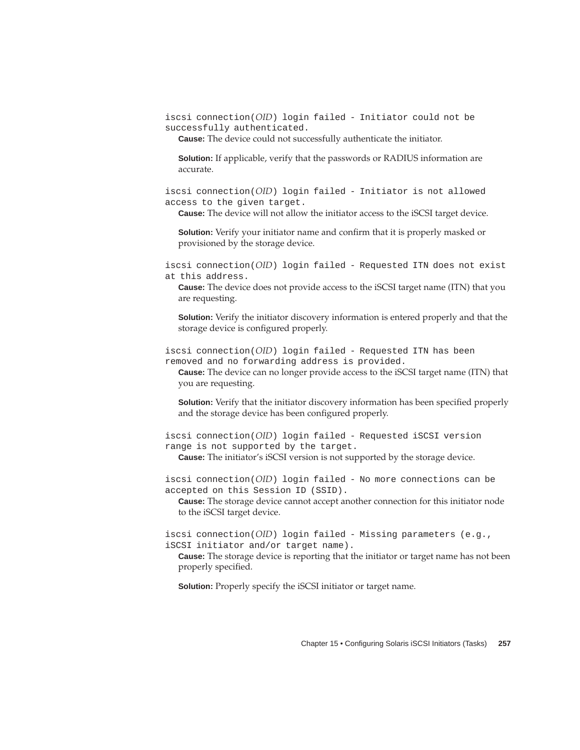iscsi connection(*OID*) login failed - Initiator could not be successfully authenticated.

**Cause:** The device could not successfully authenticate the initiator.

**Solution:** If applicable, verify that the passwords or RADIUS information are accurate.

iscsi connection(*OID*) login failed - Initiator is not allowed access to the given target.

**Cause:** The device will not allow the initiator access to the iSCSI target device.

**Solution:** Verify your initiator name and confirm that it is properly masked or provisioned by the storage device.

iscsi connection(*OID*) login failed - Requested ITN does not exist at this address.

**Cause:** The device does not provide access to the iSCSI target name (ITN) that you are requesting.

**Solution:** Verify the initiator discovery information is entered properly and that the storage device is configured properly.

iscsi connection(*OID*) login failed - Requested ITN has been removed and no forwarding address is provided.

**Cause:** The device can no longer provide access to the iSCSI target name (ITN) that you are requesting.

**Solution:** Verify that the initiator discovery information has been specified properly and the storage device has been configured properly.

iscsi connection(*OID*) login failed - Requested iSCSI version range is not supported by the target.

**Cause:** The initiator's iSCSI version is not supported by the storage device.

iscsi connection(*OID*) login failed - No more connections can be accepted on this Session ID (SSID).

**Cause:** The storage device cannot accept another connection for this initiator node to the iSCSI target device.

iscsi connection(*OID*) login failed - Missing parameters (e.g., iSCSI initiator and/or target name).

**Cause:** The storage device is reporting that the initiator or target name has not been properly specified.

**Solution:** Properly specify the iSCSI initiator or target name.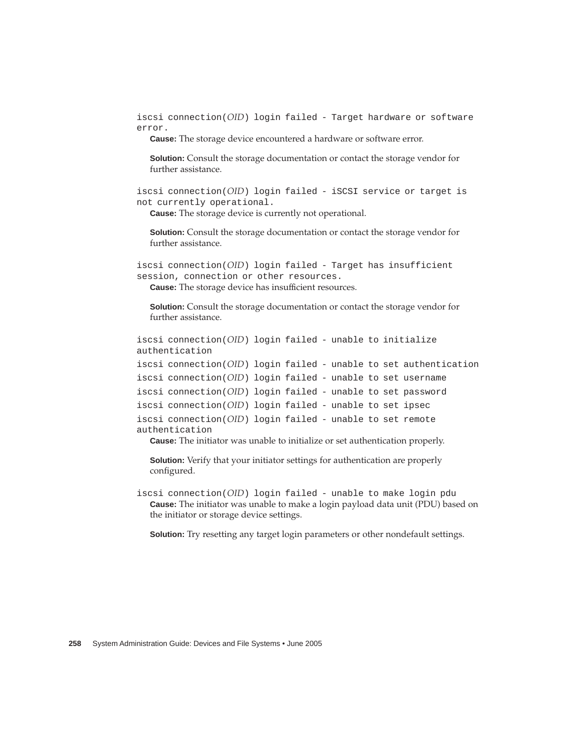iscsi connection(*OID*) login failed - Target hardware or software error.

**Cause:** The storage device encountered a hardware or software error.

**Solution:** Consult the storage documentation or contact the storage vendor for further assistance.

iscsi connection(*OID*) login failed - iSCSI service or target is not currently operational.

**Cause:** The storage device is currently not operational.

**Solution:** Consult the storage documentation or contact the storage vendor for further assistance.

iscsi connection(*OID*) login failed - Target has insufficient session, connection or other resources. **Cause:** The storage device has insufficient resources.

**Solution:** Consult the storage documentation or contact the storage vendor for further assistance.

```
iscsi connection(OID) login failed - unable to initialize
authentication
iscsi connection(OID) login failed - unable to set authentication
iscsi connection(OID) login failed - unable to set username
iscsi connection(OID) login failed - unable to set password
iscsi connection(OID) login failed - unable to set ipsec
iscsi connection(OID) login failed - unable to set remote
authentication
```
**Cause:** The initiator was unable to initialize or set authentication properly.

**Solution:** Verify that your initiator settings for authentication are properly configured.

iscsi connection(*OID*) login failed - unable to make login pdu **Cause:** The initiator was unable to make a login payload data unit (PDU) based on the initiator or storage device settings.

**Solution:** Try resetting any target login parameters or other nondefault settings.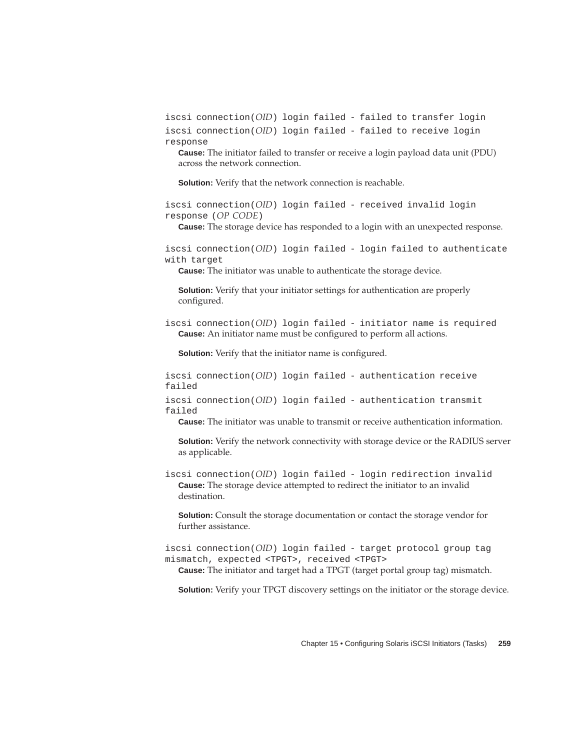iscsi connection(*OID*) login failed - failed to transfer login iscsi connection(*OID*) login failed - failed to receive login response

**Cause:** The initiator failed to transfer or receive a login payload data unit (PDU) across the network connection.

**Solution:** Verify that the network connection is reachable.

iscsi connection(*OID*) login failed - received invalid login response (*OP CODE*)

**Cause:** The storage device has responded to a login with an unexpected response.

iscsi connection(*OID*) login failed - login failed to authenticate with target

**Cause:** The initiator was unable to authenticate the storage device.

**Solution:** Verify that your initiator settings for authentication are properly configured.

iscsi connection(*OID*) login failed - initiator name is required **Cause:** An initiator name must be configured to perform all actions.

**Solution:** Verify that the initiator name is configured.

iscsi connection(*OID*) login failed - authentication receive failed

iscsi connection(*OID*) login failed - authentication transmit failed

**Cause:** The initiator was unable to transmit or receive authentication information.

**Solution:** Verify the network connectivity with storage device or the RADIUS server as applicable.

iscsi connection(*OID*) login failed - login redirection invalid **Cause:** The storage device attempted to redirect the initiator to an invalid destination.

**Solution:** Consult the storage documentation or contact the storage vendor for further assistance.

iscsi connection(*OID*) login failed - target protocol group tag mismatch, expected <TPGT>, received <TPGT>

**Cause:** The initiator and target had a TPGT (target portal group tag) mismatch.

**Solution:** Verify your TPGT discovery settings on the initiator or the storage device.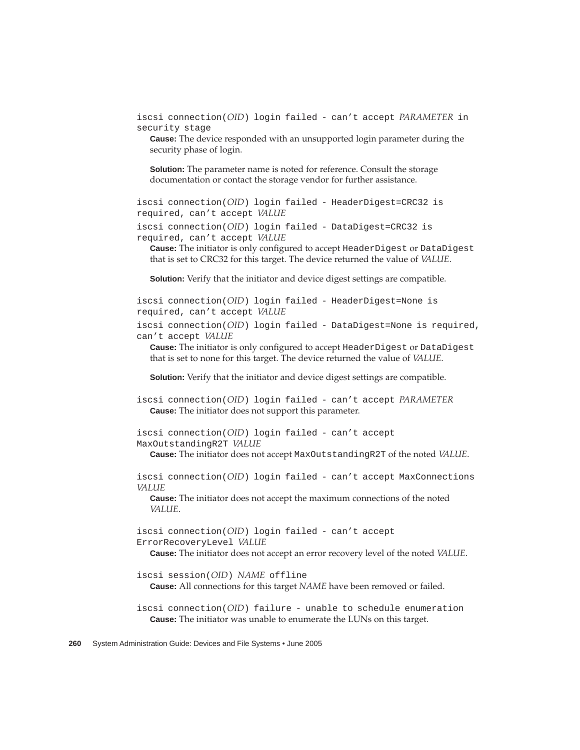iscsi connection(*OID*) login failed - can't accept *PARAMETER* in security stage

**Cause:** The device responded with an unsupported login parameter during the security phase of login.

**Solution:** The parameter name is noted for reference. Consult the storage documentation or contact the storage vendor for further assistance.

iscsi connection(*OID*) login failed - HeaderDigest=CRC32 is required, can't accept *VALUE*

iscsi connection(*OID*) login failed - DataDigest=CRC32 is required, can't accept *VALUE*

**Cause:** The initiator is only configured to accept HeaderDigest or DataDigest that is set to CRC32 for this target. The device returned the value of *VALUE*.

**Solution:** Verify that the initiator and device digest settings are compatible.

iscsi connection(*OID*) login failed - HeaderDigest=None is required, can't accept *VALUE*

iscsi connection(*OID*) login failed - DataDigest=None is required, can't accept *VALUE*

**Cause:** The initiator is only configured to accept HeaderDigest or DataDigest that is set to none for this target. The device returned the value of *VALUE*.

**Solution:** Verify that the initiator and device digest settings are compatible.

iscsi connection(*OID*) login failed - can't accept *PARAMETER* **Cause:** The initiator does not support this parameter.

iscsi connection(*OID*) login failed - can't accept MaxOutstandingR2T *VALUE*

**Cause:** The initiator does not accept MaxOutstandingR2T of the noted *VALUE*.

iscsi connection(*OID*) login failed - can't accept MaxConnections *VALUE*

**Cause:** The initiator does not accept the maximum connections of the noted *VALUE*.

iscsi connection(*OID*) login failed - can't accept ErrorRecoveryLevel *VALUE*

**Cause:** The initiator does not accept an error recovery level of the noted *VALUE*.

iscsi session(*OID*) *NAME* offline

**Cause:** All connections for this target *NAME* have been removed or failed.

iscsi connection(*OID*) failure - unable to schedule enumeration **Cause:** The initiator was unable to enumerate the LUNs on this target.